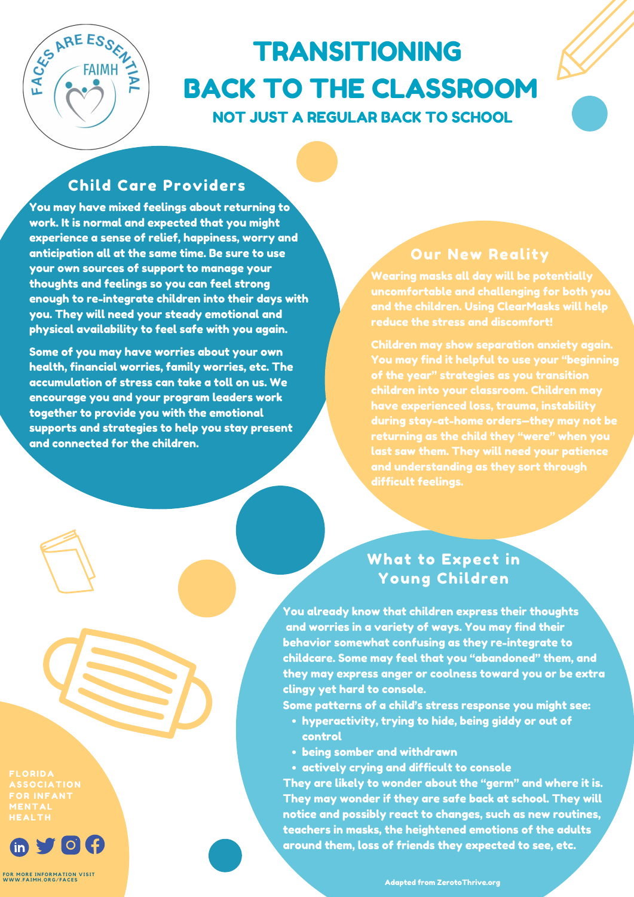

# TRANSITIONING BACK TO THE CLASSROOM NOT JUST A REGULAR BACK TO SCHOOL

You may have mixed feelings about returning to work. It is normal and expected that you might experience a sense of relief, happiness, worry and anticipation all at the same time. Be sure to use your own sources of support to manage your thoughts and feelings so you can feel strong enough to re-integrate children into their days with you. They will need your steady emotional and physical availability to feel safe with you again.

Some of you may have worries about your own health, financial worries, family worries, etc. The accumulation of stress can take a toll on us. We encourage you and your program leaders work together to provide you with the emotional supports and strategies to help you stay present and connected for the children.

- hyperactivity, trying to hide, being giddy or out of control
- being somber and withdrawn
- actively crying and difficult to console

You already know that children express their thoughts and worries in a variety of ways. You may find their behavior somewhat confusing as they re-integrate to childcare. Some may feel that you "abandoned" them, and they may express anger or coolness toward you or be extra clingy yet hard to console.

Some patterns of a child's stress response you might see:

They are likely to wonder about the "germ" and where it is. They may wonder if they are safe back at school. They will notice and possibly react to changes, such as new routines, teachers in masks, the heightened emotions of the adults around them, loss of friends they expected to see, etc.

**FLORIDA ASSOCIATION FOR INFANT MENTAL HEALTH** 



**FOR M ORE I N FOR M A T ION V ISI T [WWW.](https://www.faimh.org/faces) F A I M H .OR G / F A CES**

## Child Care Providers

## What to Expect in Young Children

Wearing masks all day will be potentially uncomfortable and challenging for both you and the children. Using ClearMasks will help reduce the stress and discomfort!

Children may show separation anxiety again. You may find it helpful to use your "beginning of the year" strategies as you transition children into your classroom. Children may have experienced loss, trauma, instability during stay-at-home orders—they may not be returning as the child they "were" when you last saw them. They will need your patience and understanding as they sort through

#### Our New Reality